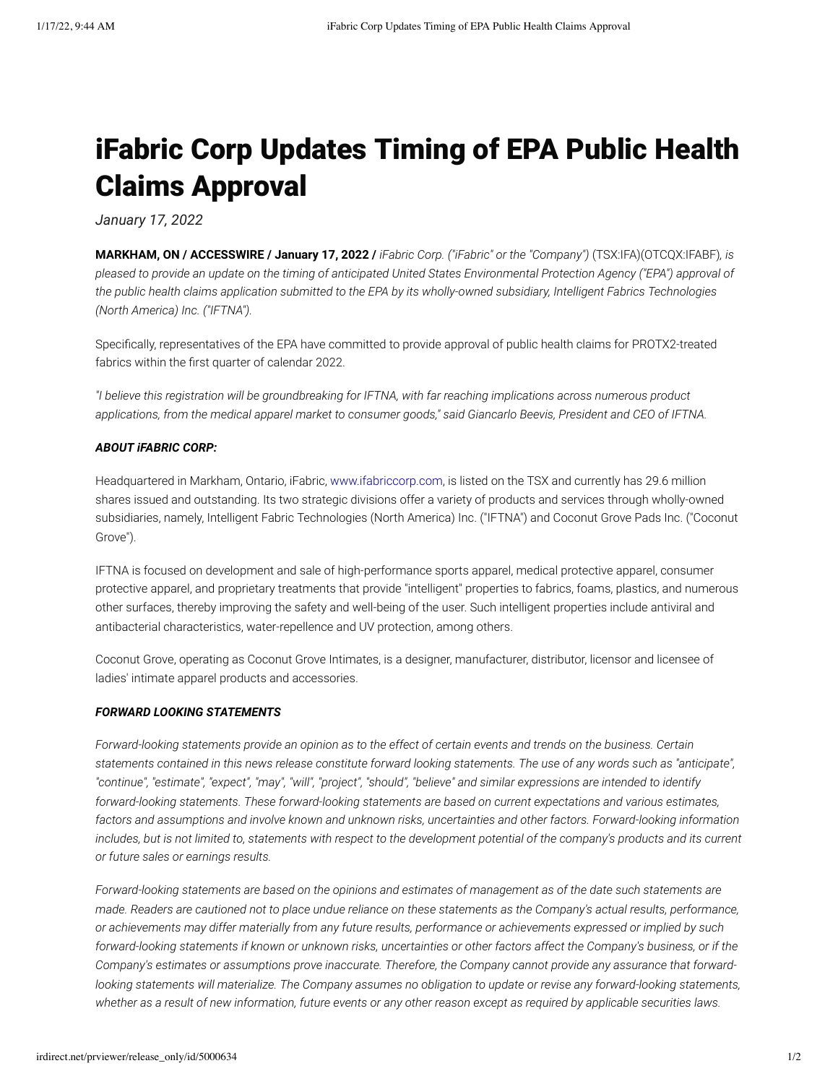# iFabric Corp Updates Timing of EPA Public Health Claims Approval

*January 17, 2022*

**MARKHAM, ON / ACCESSWIRE / January 17, 2022 /** *iFabric Corp. ("iFabric" or the "Company")* (TSX:IFA)(OTCQX:IFABF)*, is pleased to provide an update on the timing of anticipated United States Environmental Protection Agency ("EPA") approval of the public health claims application submitted to the EPA by its wholly-owned subsidiary, Intelligent Fabrics Technologies (North America) Inc. ("IFTNA").*

Specifically, representatives of the EPA have committed to provide approval of public health claims for PROTX2-treated fabrics within the first quarter of calendar 2022.

*"I believe this registration will be groundbreaking for IFTNA, with far reaching implications across numerous product applications, from the medical apparel market to consumer goods," said Giancarlo Beevis, President and CEO of IFTNA.*

#### *ABOUT iFABRIC CORP:*

Headquartered in Markham, Ontario, iFabric, [www.ifabriccorp.com,](https://pr.report/ZfxbBDEe) is listed on the TSX and currently has 29.6 million shares issued and outstanding. Its two strategic divisions offer a variety of products and services through wholly-owned subsidiaries, namely, Intelligent Fabric Technologies (North America) Inc. ("IFTNA") and Coconut Grove Pads Inc. ("Coconut Grove").

IFTNA is focused on development and sale of high-performance sports apparel, medical protective apparel, consumer protective apparel, and proprietary treatments that provide "intelligent" properties to fabrics, foams, plastics, and numerous other surfaces, thereby improving the safety and well-being of the user. Such intelligent properties include antiviral and antibacterial characteristics, water-repellence and UV protection, among others.

Coconut Grove, operating as Coconut Grove Intimates, is a designer, manufacturer, distributor, licensor and licensee of ladies' intimate apparel products and accessories.

#### *FORWARD LOOKING STATEMENTS*

*Forward-looking statements provide an opinion as to the effect of certain events and trends on the business. Certain statements contained in this news release constitute forward looking statements. The use of any words such as "anticipate", "continue", "estimate", "expect", "may", "will", "project", "should", "believe" and similar expressions are intended to identify forward-looking statements. These forward-looking statements are based on current expectations and various estimates, factors and assumptions and involve known and unknown risks, uncertainties and other factors. Forward-looking information includes, but is not limited to, statements with respect to the development potential of the company's products and its current or future sales or earnings results.*

*Forward-looking statements are based on the opinions and estimates of management as of the date such statements are made. Readers are cautioned not to place undue reliance on these statements as the Company's actual results, performance, or achievements may differ materially from any future results, performance or achievements expressed or implied by such forward-looking statements if known or unknown risks, uncertainties or other factors affect the Company's business, or if the Company's estimates or assumptions prove inaccurate. Therefore, the Company cannot provide any assurance that forwardlooking statements will materialize. The Company assumes no obligation to update or revise any forward-looking statements, whether as a result of new information, future events or any other reason except as required by applicable securities laws.*